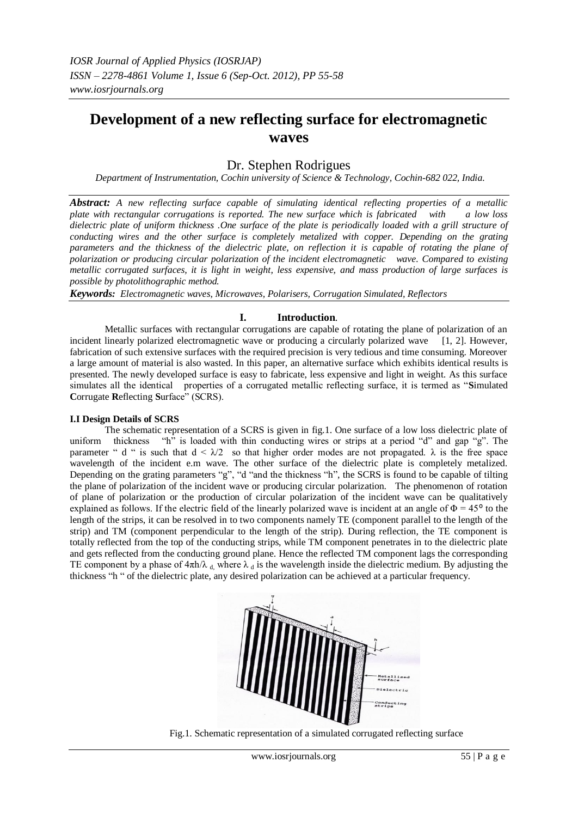# **Development of a new reflecting surface for electromagnetic waves**

# Dr. Stephen Rodrigues

*Department of Instrumentation, Cochin university of Science & Technology, Cochin-682 022, India.*

*Abstract: A new reflecting surface capable of simulating identical reflecting properties of a metallic plate with rectangular corrugations is reported. The new surface which is fabricated with a low loss dielectric plate of uniform thickness .One surface of the plate is periodically loaded with a grill structure of conducting wires and the other surface is completely metalized with copper. Depending on the grating parameters and the thickness of the dielectric plate, on reflection it is capable of rotating the plane of polarization or producing circular polarization of the incident electromagnetic wave. Compared to existing metallic corrugated surfaces, it is light in weight, less expensive, and mass production of large surfaces is possible by photolithographic method.*

*Keywords: Electromagnetic waves, Microwaves, Polarisers, Corrugation Simulated, Reflectors*

# **I. Introduction**.

 Metallic surfaces with rectangular corrugations are capable of rotating the plane of polarization of an incident linearly polarized electromagnetic wave or producing a circularly polarized wave [1, 2]. However, fabrication of such extensive surfaces with the required precision is very tedious and time consuming. Moreover a large amount of material is also wasted. In this paper, an alternative surface which exhibits identical results is presented. The newly developed surface is easy to fabricate, less expensive and light in weight. As this surface simulates all the identical properties of a corrugated metallic reflecting surface, it is termed as "**S**imulated **C**orrugate **R**eflecting **S**urface" (SCRS).

#### **I.I Design Details of SCRS**

 The schematic representation of a SCRS is given in fig.1. One surface of a low loss dielectric plate of uniform thickness "h" is loaded with thin conducting wires or strips at a period "d" and gap "g". The parameter " d " is such that  $d < \lambda/2$  so that higher order modes are not propagated.  $\lambda$  is the free space wavelength of the incident e.m wave. The other surface of the dielectric plate is completely metalized. Depending on the grating parameters "g", "d "and the thickness "h", the SCRS is found to be capable of tilting the plane of polarization of the incident wave or producing circular polarization. The phenomenon of rotation of plane of polarization or the production of circular polarization of the incident wave can be qualitatively explained as follows. If the electric field of the linearly polarized wave is incident at an angle of  $\Phi = 45^{\circ}$  to the length of the strips, it can be resolved in to two components namely TE (component parallel to the length of the strip) and TM (component perpendicular to the length of the strip). During reflection, the TE component is totally reflected from the top of the conducting strips, while TM component penetrates in to the dielectric plate and gets reflected from the conducting ground plane. Hence the reflected TM component lags the corresponding TE component by a phase of  $4\pi h/\lambda_d$ , where  $\lambda_d$  is the wavelength inside the dielectric medium. By adjusting the thickness "h " of the dielectric plate, any desired polarization can be achieved at a particular frequency.



Fig.1. Schematic representation of a simulated corrugated reflecting surface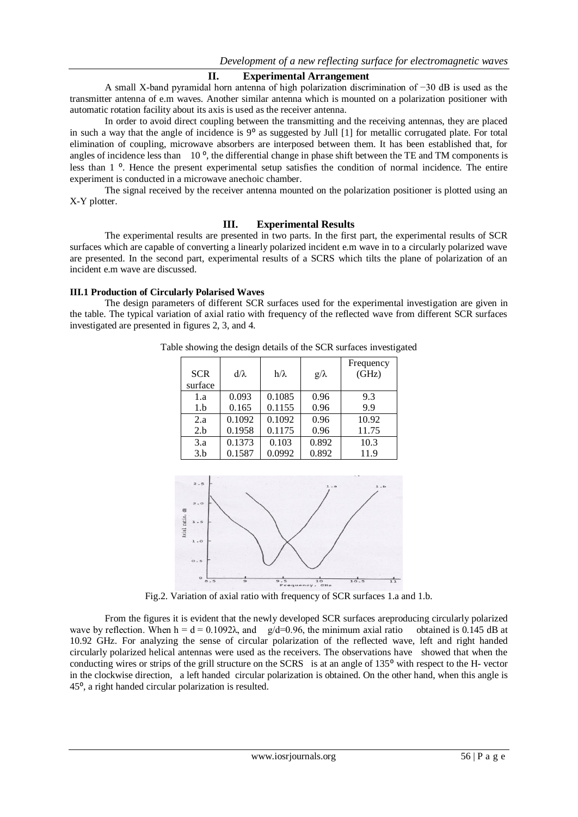## **II. Experimental Arrangement**

 A small X-band pyramidal horn antenna of high polarization discrimination of −30 dB is used as the transmitter antenna of e.m waves. Another similar antenna which is mounted on a polarization positioner with automatic rotation facility about its axis is used as the receiver antenna.

 In order to avoid direct coupling between the transmitting and the receiving antennas, they are placed in such a way that the angle of incidence is  $9^{\circ}$  as suggested by Jull [1] for metallic corrugated plate. For total elimination of coupling, microwave absorbers are interposed between them. It has been established that, for angles of incidence less than  $10^{\circ}$ , the differential change in phase shift between the TE and TM components is less than 1<sup>o</sup>. Hence the present experimental setup satisfies the condition of normal incidence. The entire experiment is conducted in a microwave anechoic chamber.

The signal received by the receiver antenna mounted on the polarization positioner is plotted using an X-Y plotter.

## **III. Experimental Results**

The experimental results are presented in two parts. In the first part, the experimental results of SCR surfaces which are capable of converting a linearly polarized incident e.m wave in to a circularly polarized wave are presented. In the second part, experimental results of a SCRS which tilts the plane of polarization of an incident e.m wave are discussed.

## **III.1 Production of Circularly Polarised Waves**

The design parameters of different SCR surfaces used for the experimental investigation are given in the table. The typical variation of axial ratio with frequency of the reflected wave from different SCR surfaces investigated are presented in figures 2, 3, and 4.

| <b>SCR</b><br>surface | $d/\lambda$ | $h/\lambda$ | $g/\lambda$ | Frequency<br>(GHz) |
|-----------------------|-------------|-------------|-------------|--------------------|
| 1.a                   | 0.093       | 0.1085      | 0.96        | 9.3                |
| 1.b                   | 0.165       | 0.1155      | 0.96        | 9.9                |
| 2.a                   | 0.1092      | 0.1092      | 0.96        | 10.92              |
| 2.b                   | 0.1958      | 0.1175      | 0.96        | 11.75              |
| 3.a                   | 0.1373      | 0.103       | 0.892       | 10.3               |
| 3.b                   | 0.1587      | 0.0992      | 0.892       | 11.9               |
|                       |             |             |             |                    |

Table showing the design details of the SCR surfaces investigated



Fig.2. Variation of axial ratio with frequency of SCR surfaces 1.a and 1.b.

 From the figures it is evident that the newly developed SCR surfaces areproducing circularly polarized wave by reflection. When  $h = d = 0.1092\lambda$ , and  $g/d=0.96$ , the minimum axial ratio obtained is 0.145 dB at 10.92 GHz. For analyzing the sense of circular polarization of the reflected wave, left and right handed circularly polarized helical antennas were used as the receivers. The observations have showed that when the conducting wires or strips of the grill structure on the SCRS is at an angle of 135<sup>o</sup> with respect to the H- vector in the clockwise direction, a left handed circular polarization is obtained. On the other hand, when this angle is 45⁰, a right handed circular polarization is resulted.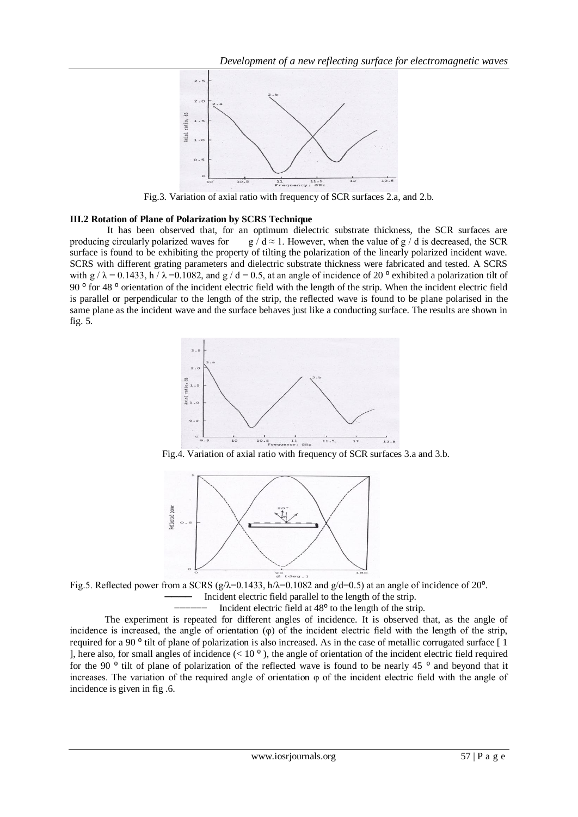

Fig.3. Variation of axial ratio with frequency of SCR surfaces 2.a, and 2.b.

#### **III.2 Rotation of Plane of Polarization by SCRS Technique**

It has been observed that, for an optimum dielectric substrate thickness, the SCR surfaces are producing circularly polarized waves for g  $/d \approx 1$ . However, when the value of g  $/d$  is decreased, the SCR surface is found to be exhibiting the property of tilting the polarization of the linearly polarized incident wave. SCRS with different grating parameters and dielectric substrate thickness were fabricated and tested. A SCRS with  $g / \lambda = 0.1433$ , h  $\lambda = 0.1082$ , and  $g / d = 0.5$ , at an angle of incidence of 20<sup>o</sup> exhibited a polarization tilt of 90<sup>°</sup> for 48<sup>°</sup> orientation of the incident electric field with the length of the strip. When the incident electric field is parallel or perpendicular to the length of the strip, the reflected wave is found to be plane polarised in the same plane as the incident wave and the surface behaves just like a conducting surface. The results are shown in fig. 5.



Fig.4. Variation of axial ratio with frequency of SCR surfaces 3.a and 3.b.



Fig.5. Reflected power from a SCRS  $(g/\lambda=0.1433, h/\lambda=0.1082$  and  $g/d=0.5$ ) at an angle of incidence of 20<sup>o</sup>. Incident electric field parallel to the length of the strip.

Incident electric field at  $48<sup>°</sup>$  to the length of the strip.

 The experiment is repeated for different angles of incidence. It is observed that, as the angle of incidence is increased, the angle of orientation (φ) of the incident electric field with the length of the strip, required for a 90 $^{\circ}$  tilt of plane of polarization is also increased. As in the case of metallic corrugated surface  $\lceil 1 \rceil$ ], here also, for small angles of incidence  $(< 10<sup>o</sup>$ ), the angle of orientation of the incident electric field required for the 90  $\degree$  tilt of plane of polarization of the reflected wave is found to be nearly 45  $\degree$  and beyond that it increases. The variation of the required angle of orientation  $\varphi$  of the incident electric field with the angle of incidence is given in fig .6.